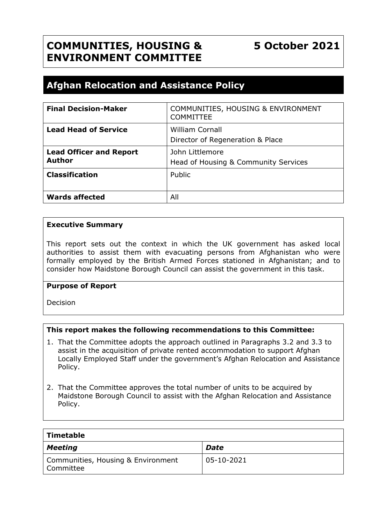# **Afghan Relocation and Assistance Policy**

| <b>Final Decision-Maker</b>    | <b>COMMUNITIES, HOUSING &amp; ENVIRONMENT</b><br><b>COMMITTEE</b> |  |
|--------------------------------|-------------------------------------------------------------------|--|
| <b>Lead Head of Service</b>    | <b>William Cornall</b>                                            |  |
|                                | Director of Regeneration & Place                                  |  |
| <b>Lead Officer and Report</b> | John Littlemore                                                   |  |
| <b>Author</b>                  | Head of Housing & Community Services                              |  |
| <b>Classification</b>          | Public                                                            |  |
|                                |                                                                   |  |
| <b>Wards affected</b>          | All                                                               |  |

#### **Executive Summary**

This report sets out the context in which the UK government has asked local authorities to assist them with evacuating persons from Afghanistan who were formally employed by the British Armed Forces stationed in Afghanistan; and to consider how Maidstone Borough Council can assist the government in this task.

#### **Purpose of Report**

Decision

## **This report makes the following recommendations to this Committee:**

- 1. That the Committee adopts the approach outlined in Paragraphs 3.2 and 3.3 to assist in the acquisition of private rented accommodation to support Afghan Locally Employed Staff under the government's Afghan Relocation and Assistance Policy.
- 2. That the Committee approves the total number of units to be acquired by Maidstone Borough Council to assist with the Afghan Relocation and Assistance Policy.

| Timetable                                       |             |
|-------------------------------------------------|-------------|
| <b>Meeting</b>                                  | <b>Date</b> |
| Communities, Housing & Environment<br>Committee | 05-10-2021  |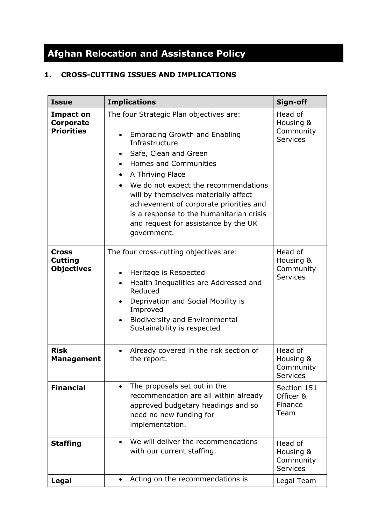# **Afghan Relocation and Assistance Policy**

## **1. CROSS-CUTTING ISSUES AND IMPLICATIONS**

| <b>Issue</b>                                       | <b>Implications</b>                                                                                                                                                                                                                                                                                                                                                                                                                                                           | Sign-off                                             |
|----------------------------------------------------|-------------------------------------------------------------------------------------------------------------------------------------------------------------------------------------------------------------------------------------------------------------------------------------------------------------------------------------------------------------------------------------------------------------------------------------------------------------------------------|------------------------------------------------------|
| Impact on<br><b>Corporate</b><br><b>Priorities</b> | The four Strategic Plan objectives are:<br><b>Embracing Growth and Enabling</b><br>$\bullet$<br>Infrastructure<br>Safe, Clean and Green<br>$\bullet$<br><b>Homes and Communities</b><br>$\bullet$<br>A Thriving Place<br>$\bullet$<br>We do not expect the recommendations<br>$\bullet$<br>will by themselves materially affect<br>achievement of corporate priorities and<br>is a response to the humanitarian crisis<br>and request for assistance by the UK<br>government. | Head of<br>Housing &<br>Community<br><b>Services</b> |
| Cross<br><b>Cutting</b><br><b>Objectives</b>       | The four cross-cutting objectives are:<br>Heritage is Respected<br>$\bullet$<br>Health Inequalities are Addressed and<br>$\bullet$<br>Reduced<br>Deprivation and Social Mobility is<br>$\bullet$<br>Improved<br><b>Biodiversity and Environmental</b><br>Sustainability is respected                                                                                                                                                                                          | Head of<br>Housing &<br>Community<br><b>Services</b> |
| <b>Risk</b><br>Management                          | Already covered in the risk section of<br>the report.                                                                                                                                                                                                                                                                                                                                                                                                                         | Head of<br>Housing &<br>Community<br>Services        |
| <b>Financial</b>                                   | The proposals set out in the<br>$\bullet$<br>recommendation are all within already<br>approved budgetary headings and so<br>need no new funding for<br>implementation.                                                                                                                                                                                                                                                                                                        | Section 151<br>Officer &<br>Finance<br>Team          |
| <b>Staffing</b>                                    | We will deliver the recommendations<br>with our current staffing.                                                                                                                                                                                                                                                                                                                                                                                                             | Head of<br>Housing &<br>Community<br><b>Services</b> |
| Legal                                              | Acting on the recommendations is                                                                                                                                                                                                                                                                                                                                                                                                                                              | Legal Team                                           |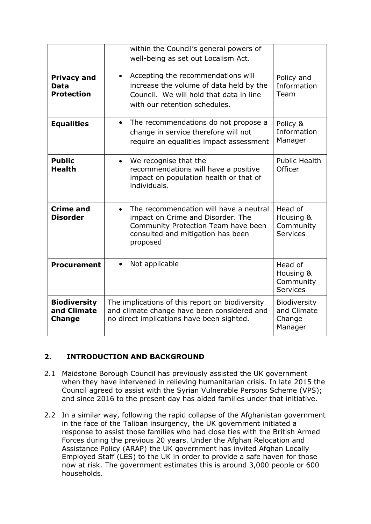|                                                        | within the Council's general powers of<br>well-being as set out Localism Act.                                                                                                    |                                                         |
|--------------------------------------------------------|----------------------------------------------------------------------------------------------------------------------------------------------------------------------------------|---------------------------------------------------------|
| <b>Privacy and</b><br><b>Data</b><br><b>Protection</b> | Accepting the recommendations will<br>$\bullet$<br>increase the volume of data held by the<br>Council. We will hold that data in line<br>with our retention schedules.           | Policy and<br>Information<br>Team                       |
| <b>Equalities</b>                                      | The recommendations do not propose a<br>$\bullet$<br>change in service therefore will not<br>require an equalities impact assessment                                             | Policy &<br>Information<br>Manager                      |
| <b>Public</b><br><b>Health</b>                         | We recognise that the<br>$\bullet$<br>recommendations will have a positive<br>impact on population health or that of<br>individuals.                                             | <b>Public Health</b><br>Officer                         |
| <b>Crime and</b><br><b>Disorder</b>                    | The recommendation will have a neutral<br>$\bullet$<br>impact on Crime and Disorder. The<br>Community Protection Team have been<br>consulted and mitigation has been<br>proposed | Head of<br>Housing &<br>Community<br><b>Services</b>    |
| <b>Procurement</b>                                     | Not applicable<br>$\bullet$                                                                                                                                                      | Head of<br>Housing &<br>Community<br><b>Services</b>    |
| <b>Biodiversity</b><br>and Climate<br><b>Change</b>    | The implications of this report on biodiversity<br>and climate change have been considered and<br>no direct implications have been sighted.                                      | <b>Biodiversity</b><br>and Climate<br>Change<br>Manager |

## **2. INTRODUCTION AND BACKGROUND**

- 2.1 Maidstone Borough Council has previously assisted the UK government when they have intervened in relieving humanitarian crisis. In late 2015 the Council agreed to assist with the Syrian Vulnerable Persons Scheme (VPS); and since 2016 to the present day has aided families under that initiative.
- 2.2 In a similar way, following the rapid collapse of the Afghanistan government in the face of the Taliban insurgency, the UK government initiated a response to assist those families who had close ties with the British Armed Forces during the previous 20 years. Under the Afghan Relocation and Assistance Policy (ARAP) the UK government has invited Afghan Locally Employed Staff (LES) to the UK in order to provide a safe haven for those now at risk. The government estimates this is around 3,000 people or 600 households.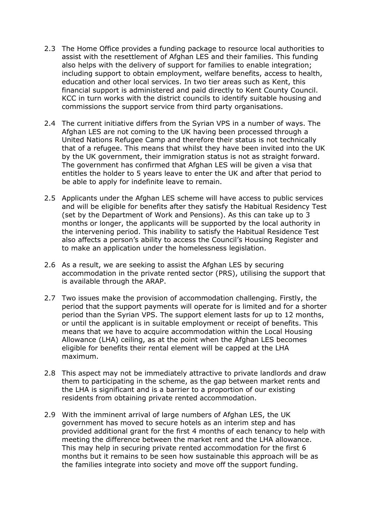- 2.3 The Home Office provides a funding package to resource local authorities to assist with the resettlement of Afghan LES and their families. This funding also helps with the delivery of support for families to enable integration; including support to obtain employment, welfare benefits, access to health, education and other local services. In two tier areas such as Kent, this financial support is administered and paid directly to Kent County Council. KCC in turn works with the district councils to identify suitable housing and commissions the support service from third party organisations.
- 2.4 The current initiative differs from the Syrian VPS in a number of ways. The Afghan LES are not coming to the UK having been processed through a United Nations Refugee Camp and therefore their status is not technically that of a refugee. This means that whilst they have been invited into the UK by the UK government, their immigration status is not as straight forward. The government has confirmed that Afghan LES will be given a visa that entitles the holder to 5 years leave to enter the UK and after that period to be able to apply for indefinite leave to remain.
- 2.5 Applicants under the Afghan LES scheme will have access to public services and will be eligible for benefits after they satisfy the Habitual Residency Test (set by the Department of Work and Pensions). As this can take up to 3 months or longer, the applicants will be supported by the local authority in the intervening period. This inability to satisfy the Habitual Residence Test also affects a person's ability to access the Council's Housing Register and to make an application under the homelessness legislation.
- 2.6 As a result, we are seeking to assist the Afghan LES by securing accommodation in the private rented sector (PRS), utilising the support that is available through the ARAP.
- 2.7 Two issues make the provision of accommodation challenging. Firstly, the period that the support payments will operate for is limited and for a shorter period than the Syrian VPS. The support element lasts for up to 12 months, or until the applicant is in suitable employment or receipt of benefits. This means that we have to acquire accommodation within the Local Housing Allowance (LHA) ceiling, as at the point when the Afghan LES becomes eligible for benefits their rental element will be capped at the LHA maximum.
- 2.8 This aspect may not be immediately attractive to private landlords and draw them to participating in the scheme, as the gap between market rents and the LHA is significant and is a barrier to a proportion of our existing residents from obtaining private rented accommodation.
- 2.9 With the imminent arrival of large numbers of Afghan LES, the UK government has moved to secure hotels as an interim step and has provided additional grant for the first 4 months of each tenancy to help with meeting the difference between the market rent and the LHA allowance. This may help in securing private rented accommodation for the first 6 months but it remains to be seen how sustainable this approach will be as the families integrate into society and move off the support funding.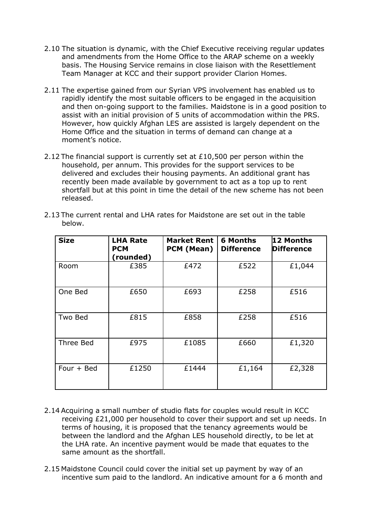- 2.10 The situation is dynamic, with the Chief Executive receiving regular updates and amendments from the Home Office to the ARAP scheme on a weekly basis. The Housing Service remains in close liaison with the Resettlement Team Manager at KCC and their support provider Clarion Homes.
- 2.11 The expertise gained from our Syrian VPS involvement has enabled us to rapidly identify the most suitable officers to be engaged in the acquisition and then on-going support to the families. Maidstone is in a good position to assist with an initial provision of 5 units of accommodation within the PRS. However, how quickly Afghan LES are assisted is largely dependent on the Home Office and the situation in terms of demand can change at a moment's notice.
- 2.12 The financial support is currently set at £10,500 per person within the household, per annum. This provides for the support services to be delivered and excludes their housing payments. An additional grant has recently been made available by government to act as a top up to rent shortfall but at this point in time the detail of the new scheme has not been released.

| <b>Size</b>  | <b>LHA Rate</b><br><b>PCM</b><br>(rounded) | <b>Market Rent</b><br>PCM (Mean) | <b>6 Months</b><br><b>Difference</b> | 12 Months<br><b>Difference</b> |
|--------------|--------------------------------------------|----------------------------------|--------------------------------------|--------------------------------|
| Room         | £385                                       | £472                             | £522                                 | £1,044                         |
| One Bed      | £650                                       | £693                             | £258                                 | £516                           |
| Two Bed      | £815                                       | £858                             | £258                                 | £516                           |
| Three Bed    | £975                                       | £1085                            | £660                                 | £1,320                         |
| Four $+$ Bed | £1250                                      | £1444                            | £1,164                               | £2,328                         |

2.13 The current rental and LHA rates for Maidstone are set out in the table below.

- 2.14 Acquiring a small number of studio flats for couples would result in KCC receiving £21,000 per household to cover their support and set up needs. In terms of housing, it is proposed that the tenancy agreements would be between the landlord and the Afghan LES household directly, to be let at the LHA rate. An incentive payment would be made that equates to the same amount as the shortfall.
- 2.15 Maidstone Council could cover the initial set up payment by way of an incentive sum paid to the landlord. An indicative amount for a 6 month and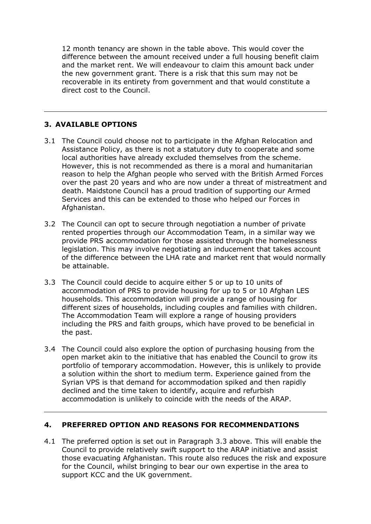12 month tenancy are shown in the table above. This would cover the difference between the amount received under a full housing benefit claim and the market rent. We will endeavour to claim this amount back under the new government grant. There is a risk that this sum may not be recoverable in its entirety from government and that would constitute a direct cost to the Council.

## **3. AVAILABLE OPTIONS**

- 3.1 The Council could choose not to participate in the Afghan Relocation and Assistance Policy, as there is not a statutory duty to cooperate and some local authorities have already excluded themselves from the scheme. However, this is not recommended as there is a moral and humanitarian reason to help the Afghan people who served with the British Armed Forces over the past 20 years and who are now under a threat of mistreatment and death. Maidstone Council has a proud tradition of supporting our Armed Services and this can be extended to those who helped our Forces in Afghanistan.
- 3.2 The Council can opt to secure through negotiation a number of private rented properties through our Accommodation Team, in a similar way we provide PRS accommodation for those assisted through the homelessness legislation. This may involve negotiating an inducement that takes account of the difference between the LHA rate and market rent that would normally be attainable.
- 3.3 The Council could decide to acquire either 5 or up to 10 units of accommodation of PRS to provide housing for up to 5 or 10 Afghan LES households. This accommodation will provide a range of housing for different sizes of households, including couples and families with children. The Accommodation Team will explore a range of housing providers including the PRS and faith groups, which have proved to be beneficial in the past.
- 3.4 The Council could also explore the option of purchasing housing from the open market akin to the initiative that has enabled the Council to grow its portfolio of temporary accommodation. However, this is unlikely to provide a solution within the short to medium term. Experience gained from the Syrian VPS is that demand for accommodation spiked and then rapidly declined and the time taken to identify, acquire and refurbish accommodation is unlikely to coincide with the needs of the ARAP.

#### **4. PREFERRED OPTION AND REASONS FOR RECOMMENDATIONS**

4.1 The preferred option is set out in Paragraph 3.3 above. This will enable the Council to provide relatively swift support to the ARAP initiative and assist those evacuating Afghanistan. This route also reduces the risk and exposure for the Council, whilst bringing to bear our own expertise in the area to support KCC and the UK government.